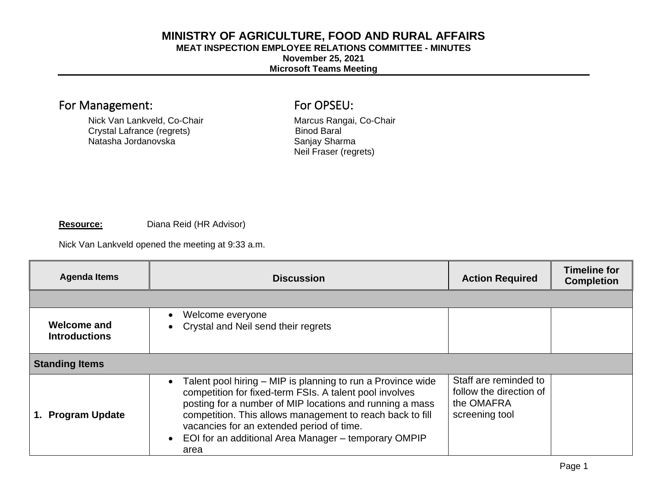## **MINISTRY OF AGRICULTURE, FOOD AND RURAL AFFAIRS**

## **MEAT INSPECTION EMPLOYEE RELATIONS COMMITTEE - MINUTES**

**November 25, 2021** 

## **Microsoft Teams Meeting**

# For Management: For OPSEU:

Nick Van Lankveld, Co-Chair<br>
Crystal Lafrance (regrets) Crystal Lafrance (regrets) Binod Baral Crystal Lafrance (regrets) Binod Baral Baral Crystal Lafrance (regrets) Binod Baral Crystal Baral Crystal Baral C Natasha Jordanovska

Neil Fraser (regrets)

#### **Resource:** Diana Reid (HR Advisor)

Nick Van Lankveld opened the meeting at 9:33 a.m.

| <b>Agenda Items</b>                 | <b>Discussion</b>                                                                                                                                                                                                                                                                                                                                                                      | <b>Action Required</b>                                                           | <b>Timeline for</b><br><b>Completion</b> |  |
|-------------------------------------|----------------------------------------------------------------------------------------------------------------------------------------------------------------------------------------------------------------------------------------------------------------------------------------------------------------------------------------------------------------------------------------|----------------------------------------------------------------------------------|------------------------------------------|--|
|                                     |                                                                                                                                                                                                                                                                                                                                                                                        |                                                                                  |                                          |  |
| Welcome and<br><b>Introductions</b> | Welcome everyone<br>Crystal and Neil send their regrets                                                                                                                                                                                                                                                                                                                                |                                                                                  |                                          |  |
| <b>Standing Items</b>               |                                                                                                                                                                                                                                                                                                                                                                                        |                                                                                  |                                          |  |
| <b>Program Update</b>               | Talent pool hiring – MIP is planning to run a Province wide<br>$\bullet$<br>competition for fixed-term FSIs. A talent pool involves<br>posting for a number of MIP locations and running a mass<br>competition. This allows management to reach back to fill<br>vacancies for an extended period of time.<br>EOI for an additional Area Manager - temporary OMPIP<br>$\bullet$<br>area | Staff are reminded to<br>follow the direction of<br>the OMAFRA<br>screening tool |                                          |  |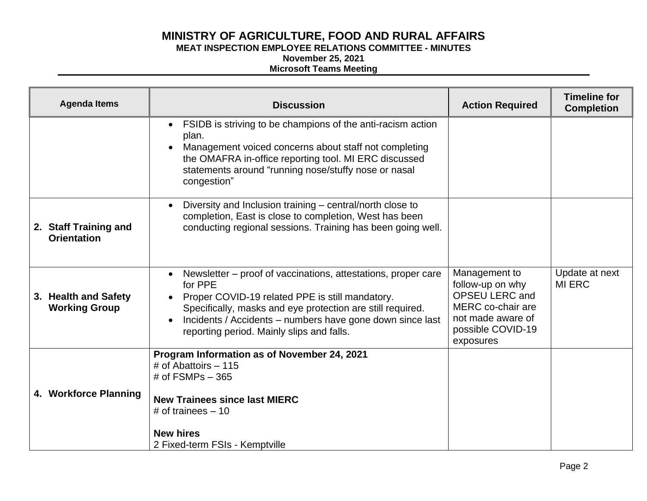## **MINISTRY OF AGRICULTURE, FOOD AND RURAL AFFAIRS MEAT INSPECTION EMPLOYEE RELATIONS COMMITTEE - MINUTES**

# **November 25, 2021**

## **Microsoft Teams Meeting**

| <b>Agenda Items</b>                          | <b>Discussion</b>                                                                                                                                                                                                                                                                                                | <b>Action Required</b>                                                                                                                 | <b>Timeline for</b><br><b>Completion</b> |
|----------------------------------------------|------------------------------------------------------------------------------------------------------------------------------------------------------------------------------------------------------------------------------------------------------------------------------------------------------------------|----------------------------------------------------------------------------------------------------------------------------------------|------------------------------------------|
|                                              | FSIDB is striving to be champions of the anti-racism action<br>$\bullet$<br>plan.<br>Management voiced concerns about staff not completing<br>the OMAFRA in-office reporting tool. MI ERC discussed<br>statements around "running nose/stuffy nose or nasal<br>congestion"                                       |                                                                                                                                        |                                          |
| 2. Staff Training and<br><b>Orientation</b>  | Diversity and Inclusion training – central/north close to<br>$\bullet$<br>completion, East is close to completion, West has been<br>conducting regional sessions. Training has been going well.                                                                                                                  |                                                                                                                                        |                                          |
| 3. Health and Safety<br><b>Working Group</b> | Newsletter – proof of vaccinations, attestations, proper care<br>$\bullet$<br>for PPE<br>Proper COVID-19 related PPE is still mandatory.<br>Specifically, masks and eye protection are still required.<br>Incidents / Accidents - numbers have gone down since last<br>reporting period. Mainly slips and falls. | Management to<br>follow-up on why<br><b>OPSEU LERC and</b><br>MERC co-chair are<br>not made aware of<br>possible COVID-19<br>exposures | Update at next<br><b>MI ERC</b>          |
| 4. Workforce Planning                        | Program Information as of November 24, 2021<br># of Abattoirs $-115$<br># of $FSMPs - 365$<br><b>New Trainees since last MIERC</b><br># of trainees $-10$<br><b>New hires</b><br>2 Fixed-term FSIs - Kemptville                                                                                                  |                                                                                                                                        |                                          |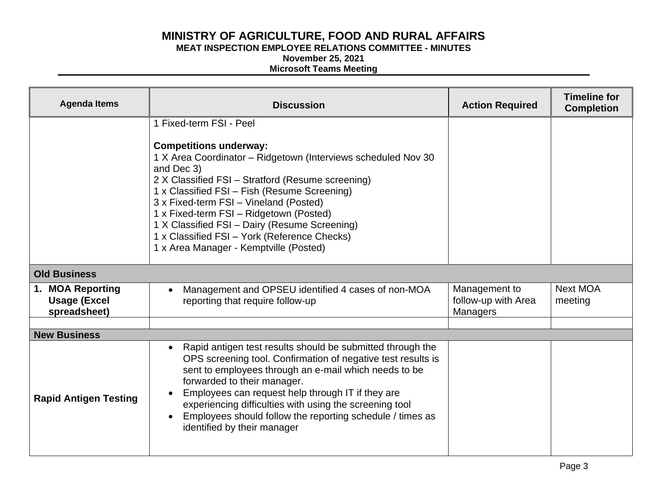# **MINISTRY OF AGRICULTURE, FOOD AND RURAL AFFAIRS**

**MEAT INSPECTION EMPLOYEE RELATIONS COMMITTEE - MINUTES** 

**November 25, 2021** 

### **Microsoft Teams Meeting**

| <b>Agenda Items</b>                                     | <b>Discussion</b>                                                                                                                                                                                                                                                                                                                                                                                                                                                            | <b>Action Required</b>                                  | <b>Timeline for</b><br><b>Completion</b> |
|---------------------------------------------------------|------------------------------------------------------------------------------------------------------------------------------------------------------------------------------------------------------------------------------------------------------------------------------------------------------------------------------------------------------------------------------------------------------------------------------------------------------------------------------|---------------------------------------------------------|------------------------------------------|
|                                                         | 1 Fixed-term FSI - Peel<br><b>Competitions underway:</b><br>1 X Area Coordinator - Ridgetown (Interviews scheduled Nov 30<br>and Dec 3)<br>2 X Classified FSI - Stratford (Resume screening)<br>1 x Classified FSI - Fish (Resume Screening)<br>3 x Fixed-term FSI - Vineland (Posted)<br>1 x Fixed-term FSI - Ridgetown (Posted)<br>1 X Classified FSI - Dairy (Resume Screening)<br>1 x Classified FSI - York (Reference Checks)<br>1 x Area Manager - Kemptville (Posted) |                                                         |                                          |
| <b>Old Business</b>                                     |                                                                                                                                                                                                                                                                                                                                                                                                                                                                              |                                                         |                                          |
| 1. MOA Reporting<br><b>Usage (Excel</b><br>spreadsheet) | Management and OPSEU identified 4 cases of non-MOA<br>$\bullet$<br>reporting that require follow-up                                                                                                                                                                                                                                                                                                                                                                          | Management to<br>follow-up with Area<br><b>Managers</b> | Next MOA<br>meeting                      |
| <b>New Business</b>                                     |                                                                                                                                                                                                                                                                                                                                                                                                                                                                              |                                                         |                                          |
| <b>Rapid Antigen Testing</b>                            | Rapid antigen test results should be submitted through the<br>$\bullet$<br>OPS screening tool. Confirmation of negative test results is<br>sent to employees through an e-mail which needs to be<br>forwarded to their manager.<br>Employees can request help through IT if they are<br>experiencing difficulties with using the screening tool<br>Employees should follow the reporting schedule / times as<br>identified by their manager                                  |                                                         |                                          |